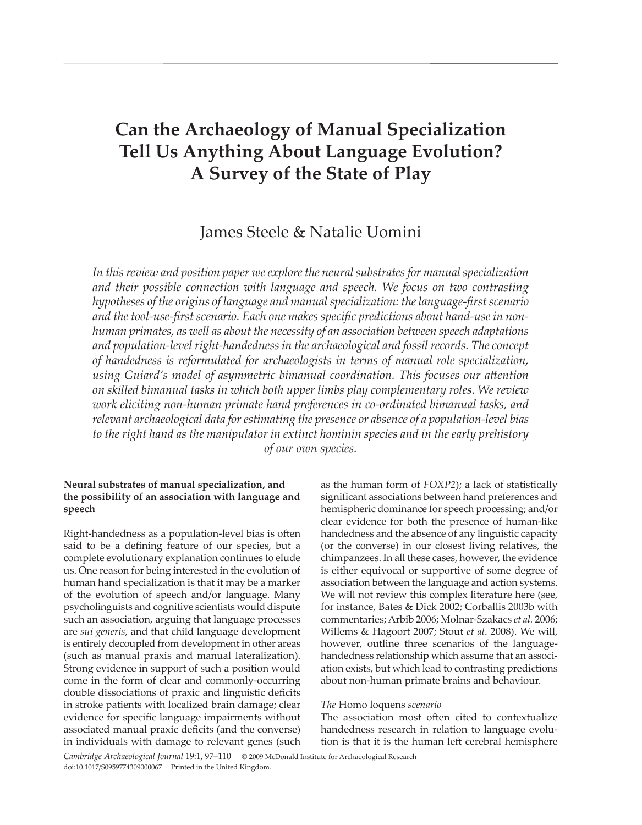# **Can the Archaeology of Manual Specialization Tell Us Anything About Language Evolution? A Survey of the State of Play**

# James Steele & Natalie Uomini

*In this review and position paper we explore the neural substrates for manual specialization and their possible connection with language and speech. We focus on two contrasting hypotheses of the origins of language and manual specialization: the language-first scenario and the tool-use-first scenario. Each one makes specific predictions about hand-use in nonhuman primates, as well as about the necessity of an association between speech adaptations and population-level right-handedness in the archaeological and fossil records. The concept of handedness is reformulated for archaeologists in terms of manual role specialization, using Guiard's model of asymmetric bimanual coordination. This focuses our attention on skilled bimanual tasks in which both upper limbs play complementary roles. We review work eliciting non-human primate hand preferences in co-ordinated bimanual tasks, and relevant archaeological data for estimating the presence or absence of a population-level bias to the right hand as the manipulator in extinct hominin species and in the early prehistory of our own species.*

# **Neural substrates of manual specialization, and the possibility of an association with language and speech**

Right-handedness as a population-level bias is often said to be a defining feature of our species, but a complete evolutionary explanation continues to elude us. One reason for being interested in the evolution of human hand specialization is that it may be a marker of the evolution of speech and/or language. Many psycholinguists and cognitive scientists would dispute such an association, arguing that language processes are *sui generis*, and that child language development is entirely decoupled from development in other areas (such as manual praxis and manual lateralization). Strong evidence in support of such a position would come in the form of clear and commonly-occurring double dissociations of praxic and linguistic deficits in stroke patients with localized brain damage; clear evidence for specific language impairments without associated manual praxic deficits (and the converse) in individuals with damage to relevant genes (such

as the human form of *FOXP2*); a lack of statistically significant associations between hand preferences and hemispheric dominance for speech processing; and/or clear evidence for both the presence of human-like handedness and the absence of any linguistic capacity (or the converse) in our closest living relatives, the chimpanzees. In all these cases, however, the evidence is either equivocal or supportive of some degree of association between the language and action systems. We will not review this complex literature here (see, for instance, Bates & Dick 2002; Corballis 2003b with commentaries; Arbib 2006; Molnar-Szakacs *et al.* 2006; Willems & Hagoort 2007; Stout *et al*. 2008). We will, however, outline three scenarios of the languagehandedness relationship which assume that an association exists, but which lead to contrasting predictions about non-human primate brains and behaviour.

### *The* Homo loquens *scenario*

The association most often cited to contextualize handedness research in relation to language evolution is that it is the human left cerebral hemisphere

*Cambridge Archaeological Journal* 19:1, 97–110 © 2009 McDonald Institute for Archaeological Research doi:10.1017/S0959774309000067 Printed in the United Kingdom.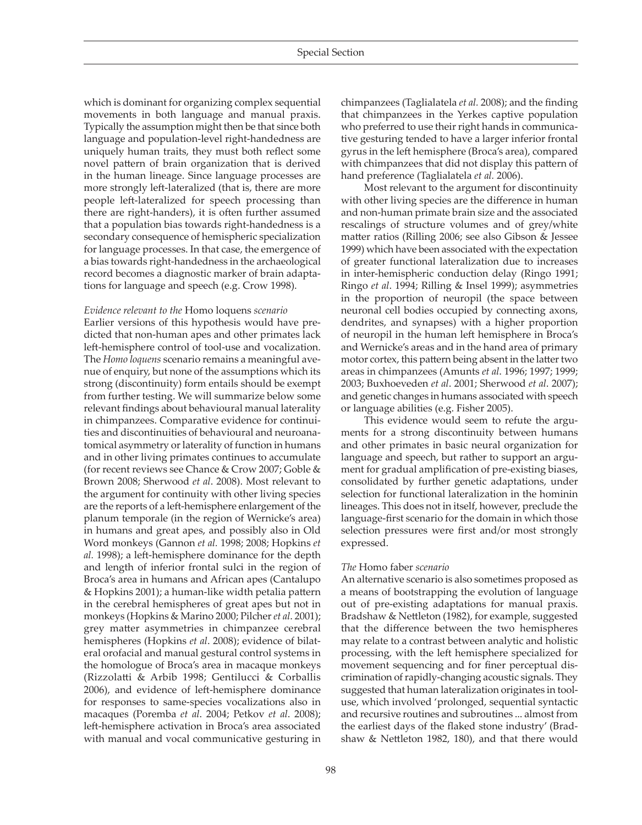which is dominant for organizing complex sequential movements in both language and manual praxis. Typically the assumption might then be that since both language and population-level right-handedness are uniquely human traits, they must both reflect some novel pattern of brain organization that is derived in the human lineage. Since language processes are more strongly left-lateralized (that is, there are more people left-lateralized for speech processing than there are right-handers), it is often further assumed that a population bias towards right-handedness is a secondary consequence of hemispheric specialization for language processes. In that case, the emergence of a bias towards right-handedness in the archaeological record becomes a diagnostic marker of brain adaptations for language and speech (e.g. Crow 1998).

*Evidence relevant to the* Homo loquens *scenario*

Earlier versions of this hypothesis would have predicted that non-human apes and other primates lack left-hemisphere control of tool-use and vocalization. The *Homo loquens* scenario remains a meaningful avenue of enquiry, but none of the assumptions which its strong (discontinuity) form entails should be exempt from further testing. We will summarize below some relevant findings about behavioural manual laterality in chimpanzees. Comparative evidence for continuities and discontinuities of behavioural and neuroanatomical asymmetry or laterality of function in humans and in other living primates continues to accumulate (for recent reviews see Chance & Crow 2007; Goble & Brown 2008; Sherwood *et al*. 2008). Most relevant to the argument for continuity with other living species are the reports of a left-hemisphere enlargement of the planum temporale (in the region of Wernicke's area) in humans and great apes, and possibly also in Old Word monkeys (Gannon *et al.* 1998; 2008; Hopkins *et al.* 1998); a left-hemisphere dominance for the depth and length of inferior frontal sulci in the region of Broca's area in humans and African apes (Cantalupo & Hopkins 2001); a human-like width petalia pattern in the cerebral hemispheres of great apes but not in monkeys (Hopkins & Marino 2000; Pilcher *et al*. 2001); grey matter asymmetries in chimpanzee cerebral hemispheres (Hopkins *et al*. 2008); evidence of bilateral orofacial and manual gestural control systems in the homologue of Broca's area in macaque monkeys (Rizzolatti & Arbib 1998; Gentilucci & Corballis 2006), and evidence of left-hemisphere dominance for responses to same-species vocalizations also in macaques (Poremba *et al*. 2004; Petkov *et al*. 2008); left-hemisphere activation in Broca's area associated with manual and vocal communicative gesturing in

chimpanzees (Taglialatela *et al.* 2008); and the finding that chimpanzees in the Yerkes captive population who preferred to use their right hands in communicative gesturing tended to have a larger inferior frontal gyrus in the left hemisphere (Broca's area), compared with chimpanzees that did not display this pattern of hand preference (Taglialatela *et al.* 2006).

Most relevant to the argument for discontinuity with other living species are the difference in human and non-human primate brain size and the associated rescalings of structure volumes and of grey/white matter ratios (Rilling 2006; see also Gibson & Jessee 1999) which have been associated with the expectation of greater functional lateralization due to increases in inter-hemispheric conduction delay (Ringo 1991; Ringo *et al*. 1994; Rilling & Insel 1999); asymmetries in the proportion of neuropil (the space between neuronal cell bodies occupied by connecting axons, dendrites, and synapses) with a higher proportion of neuropil in the human left hemisphere in Broca's and Wernicke's areas and in the hand area of primary motor cortex, this pattern being absent in the latter two areas in chimpanzees (Amunts *et al*. 1996; 1997; 1999; 2003; Buxhoeveden *et al*. 2001; Sherwood *et al*. 2007); and genetic changes in humans associated with speech or language abilities (e.g. Fisher 2005).

This evidence would seem to refute the arguments for a strong discontinuity between humans and other primates in basic neural organization for language and speech, but rather to support an argument for gradual amplification of pre-existing biases, consolidated by further genetic adaptations, under selection for functional lateralization in the hominin lineages. This does not in itself, however, preclude the language-first scenario for the domain in which those selection pressures were first and/or most strongly expressed.

#### *The* Homo faber *scenario*

An alternative scenario is also sometimes proposed as a means of bootstrapping the evolution of language out of pre-existing adaptations for manual praxis. Bradshaw & Nettleton (1982), for example, suggested that the difference between the two hemispheres may relate to a contrast between analytic and holistic processing, with the left hemisphere specialized for movement sequencing and for finer perceptual discrimination of rapidly-changing acoustic signals. They suggested that human lateralization originates in tooluse, which involved 'prolonged, sequential syntactic and recursive routines and subroutines ... almost from the earliest days of the flaked stone industry' (Bradshaw & Nettleton 1982, 180), and that there would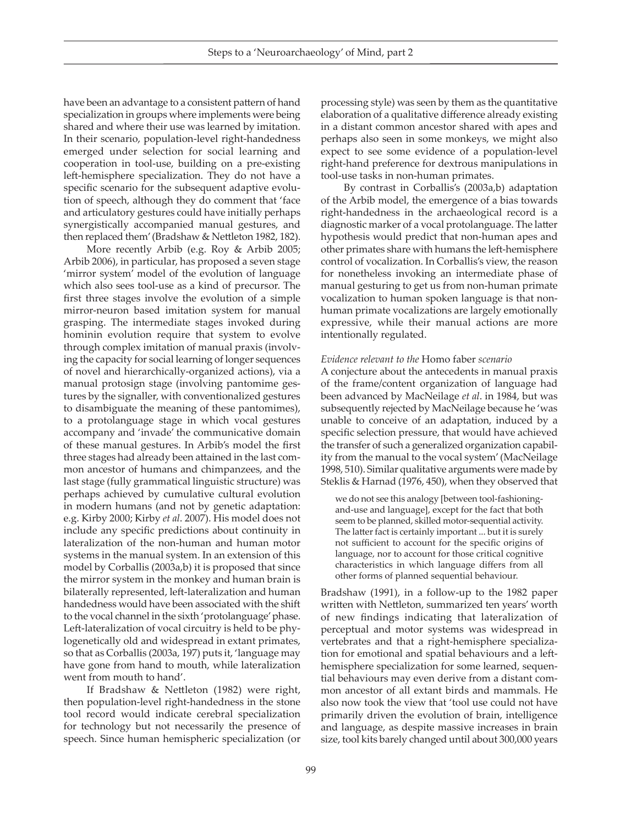have been an advantage to a consistent pattern of hand specialization in groups where implements were being shared and where their use was learned by imitation. In their scenario, population-level right-handedness emerged under selection for social learning and cooperation in tool-use, building on a pre-existing left-hemisphere specialization. They do not have a specific scenario for the subsequent adaptive evolution of speech, although they do comment that 'face and articulatory gestures could have initially perhaps synergistically accompanied manual gestures, and then replaced them' (Bradshaw & Nettleton 1982, 182).

More recently Arbib (e.g. Roy & Arbib 2005; Arbib 2006), in particular, has proposed a seven stage 'mirror system' model of the evolution of language which also sees tool-use as a kind of precursor. The first three stages involve the evolution of a simple mirror-neuron based imitation system for manual grasping. The intermediate stages invoked during hominin evolution require that system to evolve through complex imitation of manual praxis (involving the capacity for social learning of longer sequences of novel and hierarchically-organized actions), via a manual protosign stage (involving pantomime gestures by the signaller, with conventionalized gestures to disambiguate the meaning of these pantomimes), to a protolanguage stage in which vocal gestures accompany and 'invade' the communicative domain of these manual gestures. In Arbib's model the first three stages had already been attained in the last common ancestor of humans and chimpanzees, and the last stage (fully grammatical linguistic structure) was perhaps achieved by cumulative cultural evolution in modern humans (and not by genetic adaptation: e.g. Kirby 2000; Kirby *et al*. 2007). His model does not include any specific predictions about continuity in lateralization of the non-human and human motor systems in the manual system. In an extension of this model by Corballis (2003a,b) it is proposed that since the mirror system in the monkey and human brain is bilaterally represented, left-lateralization and human handedness would have been associated with the shift to the vocal channel in the sixth 'protolanguage' phase. Left-lateralization of vocal circuitry is held to be phylogenetically old and widespread in extant primates, so that as Corballis (2003a, 197) puts it, 'language may have gone from hand to mouth, while lateralization went from mouth to hand'.

If Bradshaw & Nettleton (1982) were right, then population-level right-handedness in the stone tool record would indicate cerebral specialization for technology but not necessarily the presence of speech. Since human hemispheric specialization (or processing style) was seen by them as the quantitative elaboration of a qualitative difference already existing in a distant common ancestor shared with apes and perhaps also seen in some monkeys, we might also expect to see some evidence of a population-level right-hand preference for dextrous manipulations in tool-use tasks in non-human primates.

By contrast in Corballis's (2003a,b) adaptation of the Arbib model, the emergence of a bias towards right-handedness in the archaeological record is a diagnostic marker of a vocal protolanguage. The latter hypothesis would predict that non-human apes and other primates share with humans the left-hemisphere control of vocalization. In Corballis's view, the reason for nonetheless invoking an intermediate phase of manual gesturing to get us from non-human primate vocalization to human spoken language is that nonhuman primate vocalizations are largely emotionally expressive, while their manual actions are more intentionally regulated.

#### *Evidence relevant to the* Homo faber *scenario*

A conjecture about the antecedents in manual praxis of the frame/content organization of language had been advanced by MacNeilage *et al*. in 1984, but was subsequently rejected by MacNeilage because he 'was unable to conceive of an adaptation, induced by a specific selection pressure, that would have achieved the transfer of such a generalized organization capability from the manual to the vocal system' (MacNeilage 1998, 510). Similar qualitative arguments were made by Steklis & Harnad (1976, 450), when they observed that

we do not see this analogy [between tool-fashioningand-use and language], except for the fact that both seem to be planned, skilled motor-sequential activity. The latter fact is certainly important ... but it is surely not sufficient to account for the specific origins of language, nor to account for those critical cognitive characteristics in which language differs from all other forms of planned sequential behaviour.

Bradshaw (1991), in a follow-up to the 1982 paper written with Nettleton, summarized ten years' worth of new findings indicating that lateralization of perceptual and motor systems was widespread in vertebrates and that a right-hemisphere specialization for emotional and spatial behaviours and a lefthemisphere specialization for some learned, sequential behaviours may even derive from a distant common ancestor of all extant birds and mammals. He also now took the view that 'tool use could not have primarily driven the evolution of brain, intelligence and language, as despite massive increases in brain size, tool kits barely changed until about 300,000 years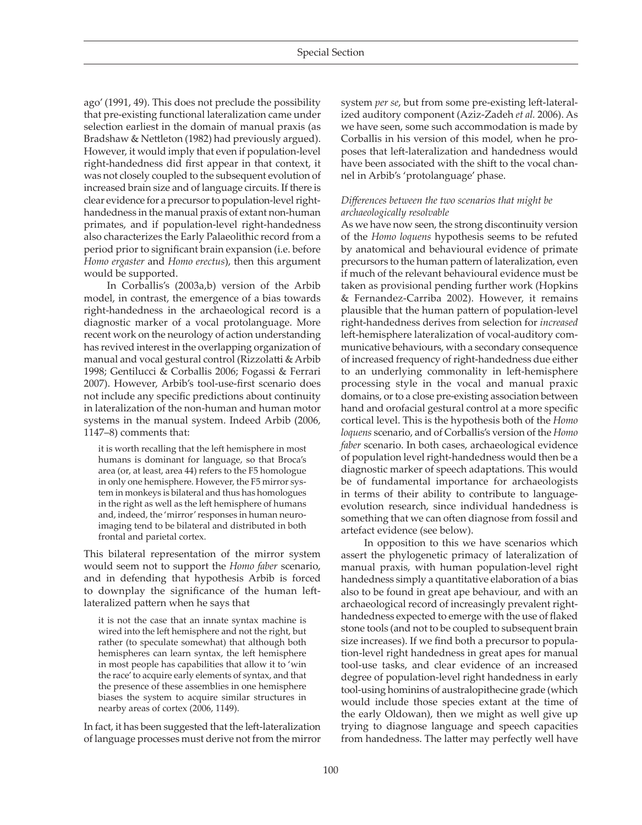ago' (1991, 49). This does not preclude the possibility that pre-existing functional lateralization came under selection earliest in the domain of manual praxis (as Bradshaw & Nettleton (1982) had previously argued). However, it would imply that even if population-level right-handedness did first appear in that context, it was not closely coupled to the subsequent evolution of increased brain size and of language circuits. If there is clear evidence for a precursor to population-level righthandedness in the manual praxis of extant non-human primates, and if population-level right-handedness also characterizes the Early Palaeolithic record from a period prior to significant brain expansion (i.e. before *Homo ergaster* and *Homo erectus*), then this argument would be supported.

In Corballis's (2003a,b) version of the Arbib model, in contrast, the emergence of a bias towards right-handedness in the archaeological record is a diagnostic marker of a vocal protolanguage. More recent work on the neurology of action understanding has revived interest in the overlapping organization of manual and vocal gestural control (Rizzolatti & Arbib 1998; Gentilucci & Corballis 2006; Fogassi & Ferrari 2007). However, Arbib's tool-use-first scenario does not include any specific predictions about continuity in lateralization of the non-human and human motor systems in the manual system. Indeed Arbib (2006, 1147–8) comments that:

it is worth recalling that the left hemisphere in most humans is dominant for language, so that Broca's area (or, at least, area 44) refers to the F5 homologue in only one hemisphere. However, the F5 mirror system in monkeys is bilateral and thus has homologues in the right as well as the left hemisphere of humans and, indeed, the 'mirror' responses in human neuroimaging tend to be bilateral and distributed in both frontal and parietal cortex.

This bilateral representation of the mirror system would seem not to support the *Homo faber* scenario, and in defending that hypothesis Arbib is forced to downplay the significance of the human leftlateralized pattern when he says that

it is not the case that an innate syntax machine is wired into the left hemisphere and not the right, but rather (to speculate somewhat) that although both hemispheres can learn syntax, the left hemisphere in most people has capabilities that allow it to 'win the race' to acquire early elements of syntax, and that the presence of these assemblies in one hemisphere biases the system to acquire similar structures in nearby areas of cortex (2006, 1149).

In fact, it has been suggested that the left-lateralization of language processes must derive not from the mirror

system *per se*, but from some pre-existing left-lateralized auditory component (Aziz-Zadeh *et al.* 2006). As we have seen, some such accommodation is made by Corballis in his version of this model, when he proposes that left-lateralization and handedness would have been associated with the shift to the vocal channel in Arbib's 'protolanguage' phase.

# *Differences between the two scenarios that might be archaeologically resolvable*

As we have now seen, the strong discontinuity version of the *Homo loquens* hypothesis seems to be refuted by anatomical and behavioural evidence of primate precursors to the human pattern of lateralization, even if much of the relevant behavioural evidence must be taken as provisional pending further work (Hopkins & Fernandez-Carriba 2002). However, it remains plausible that the human pattern of population-level right-handedness derives from selection for *increased* left-hemisphere lateralization of vocal-auditory communicative behaviours, with a secondary consequence of increased frequency of right-handedness due either to an underlying commonality in left-hemisphere processing style in the vocal and manual praxic domains, or to a close pre-existing association between hand and orofacial gestural control at a more specific cortical level. This is the hypothesis both of the *Homo loquens* scenario, and of Corballis's version of the *Homo faber* scenario. In both cases, archaeological evidence of population level right-handedness would then be a diagnostic marker of speech adaptations. This would be of fundamental importance for archaeologists in terms of their ability to contribute to languageevolution research, since individual handedness is something that we can often diagnose from fossil and artefact evidence (see below).

In opposition to this we have scenarios which assert the phylogenetic primacy of lateralization of manual praxis, with human population-level right handedness simply a quantitative elaboration of a bias also to be found in great ape behaviour, and with an archaeological record of increasingly prevalent righthandedness expected to emerge with the use of flaked stone tools (and not to be coupled to subsequent brain size increases). If we find both a precursor to population-level right handedness in great apes for manual tool-use tasks, and clear evidence of an increased degree of population-level right handedness in early tool-using hominins of australopithecine grade (which would include those species extant at the time of the early Oldowan), then we might as well give up trying to diagnose language and speech capacities from handedness. The latter may perfectly well have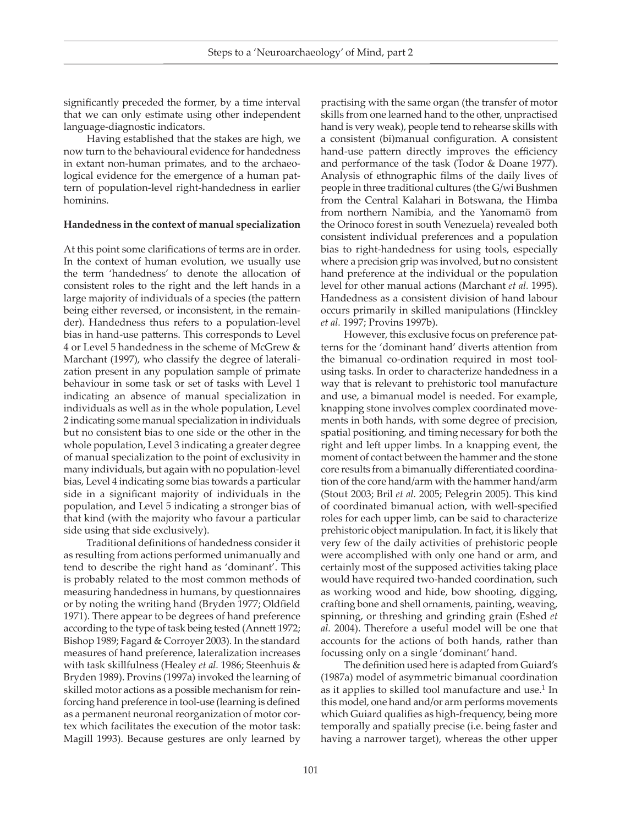significantly preceded the former, by a time interval that we can only estimate using other independent language-diagnostic indicators.

Having established that the stakes are high, we now turn to the behavioural evidence for handedness in extant non-human primates, and to the archaeological evidence for the emergence of a human pattern of population-level right-handedness in earlier hominins.

#### **Handedness in the context of manual specialization**

At this point some clarifications of terms are in order. In the context of human evolution, we usually use the term 'handedness' to denote the allocation of consistent roles to the right and the left hands in a large majority of individuals of a species (the pattern being either reversed, or inconsistent, in the remainder). Handedness thus refers to a population-level bias in hand-use patterns. This corresponds to Level 4 or Level 5 handedness in the scheme of McGrew & Marchant (1997), who classify the degree of lateralization present in any population sample of primate behaviour in some task or set of tasks with Level 1 indicating an absence of manual specialization in individuals as well as in the whole population, Level 2 indicating some manual specialization in individuals but no consistent bias to one side or the other in the whole population, Level 3 indicating a greater degree of manual specialization to the point of exclusivity in many individuals, but again with no population-level bias, Level 4 indicating some bias towards a particular side in a significant majority of individuals in the population, and Level 5 indicating a stronger bias of that kind (with the majority who favour a particular side using that side exclusively).

Traditional definitions of handedness consider it as resulting from actions performed unimanually and tend to describe the right hand as 'dominant'. This is probably related to the most common methods of measuring handedness in humans, by questionnaires or by noting the writing hand (Bryden 1977; Oldfield 1971). There appear to be degrees of hand preference according to the type of task being tested (Annett 1972; Bishop 1989; Fagard & Corroyer 2003). In the standard measures of hand preference, lateralization increases with task skillfulness (Healey *et al.* 1986; Steenhuis & Bryden 1989). Provins (1997a) invoked the learning of skilled motor actions as a possible mechanism for reinforcing hand preference in tool-use (learning is defined as a permanent neuronal reorganization of motor cortex which facilitates the execution of the motor task: Magill 1993). Because gestures are only learned by

practising with the same organ (the transfer of motor skills from one learned hand to the other, unpractised hand is very weak), people tend to rehearse skills with a consistent (bi)manual configuration. A consistent hand-use pattern directly improves the efficiency and performance of the task (Todor & Doane 1977). Analysis of ethnographic films of the daily lives of people in three traditional cultures (the G/wi Bushmen from the Central Kalahari in Botswana, the Himba from northern Namibia, and the Yanomamö from the Orinoco forest in south Venezuela) revealed both consistent individual preferences and a population bias to right-handedness for using tools, especially where a precision grip was involved, but no consistent hand preference at the individual or the population level for other manual actions (Marchant *et al.* 1995). Handedness as a consistent division of hand labour occurs primarily in skilled manipulations (Hinckley *et al.* 1997; Provins 1997b).

However, this exclusive focus on preference patterns for the 'dominant hand' diverts attention from the bimanual co-ordination required in most toolusing tasks. In order to characterize handedness in a way that is relevant to prehistoric tool manufacture and use, a bimanual model is needed. For example, knapping stone involves complex coordinated movements in both hands, with some degree of precision, spatial positioning, and timing necessary for both the right and left upper limbs. In a knapping event, the moment of contact between the hammer and the stone core results from a bimanually differentiated coordination of the core hand/arm with the hammer hand/arm (Stout 2003; Bril *et al.* 2005; Pelegrin 2005). This kind of coordinated bimanual action, with well-specified roles for each upper limb, can be said to characterize prehistoric object manipulation. In fact, it is likely that very few of the daily activities of prehistoric people were accomplished with only one hand or arm, and certainly most of the supposed activities taking place would have required two-handed coordination, such as working wood and hide, bow shooting, digging, crafting bone and shell ornaments, painting, weaving, spinning, or threshing and grinding grain (Eshed *et al.* 2004). Therefore a useful model will be one that accounts for the actions of both hands, rather than focussing only on a single 'dominant' hand.

The definition used here is adapted from Guiard's (1987a) model of asymmetric bimanual coordination as it applies to skilled tool manufacture and use.<sup>1</sup> In this model, one hand and/or arm performs movements which Guiard qualifies as high-frequency, being more temporally and spatially precise (i.e. being faster and having a narrower target), whereas the other upper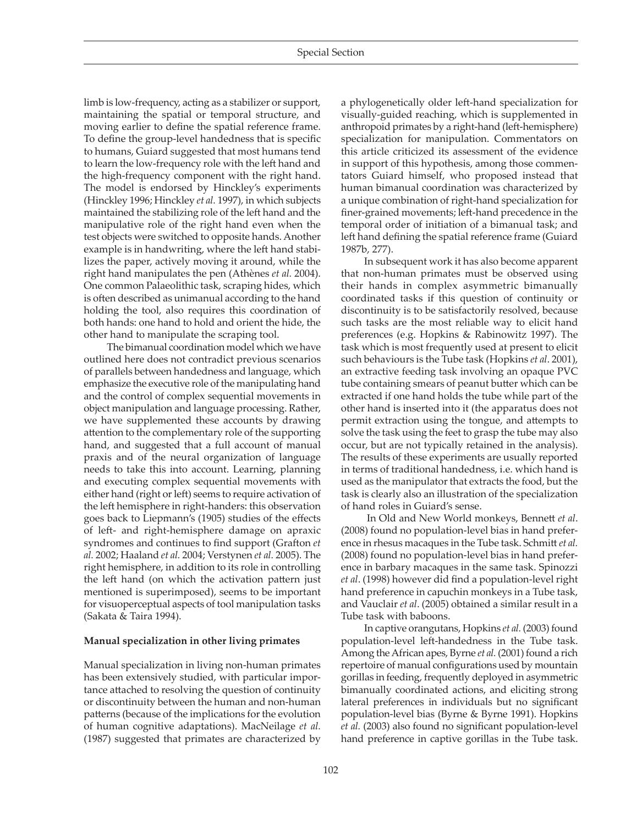limb is low-frequency, acting as a stabilizer or support, maintaining the spatial or temporal structure, and moving earlier to define the spatial reference frame. To define the group-level handedness that is specific to humans, Guiard suggested that most humans tend to learn the low-frequency role with the left hand and the high-frequency component with the right hand. The model is endorsed by Hinckley's experiments (Hinckley 1996; Hinckley *et al.* 1997), in which subjects maintained the stabilizing role of the left hand and the manipulative role of the right hand even when the test objects were switched to opposite hands. Another example is in handwriting, where the left hand stabilizes the paper, actively moving it around, while the right hand manipulates the pen (Athènes *et al.* 2004). One common Palaeolithic task, scraping hides, which is often described as unimanual according to the hand holding the tool, also requires this coordination of both hands: one hand to hold and orient the hide, the other hand to manipulate the scraping tool.

The bimanual coordination model which we have outlined here does not contradict previous scenarios of parallels between handedness and language, which emphasize the executive role of the manipulating hand and the control of complex sequential movements in object manipulation and language processing. Rather, we have supplemented these accounts by drawing attention to the complementary role of the supporting hand, and suggested that a full account of manual praxis and of the neural organization of language needs to take this into account. Learning, planning and executing complex sequential movements with either hand (right or left) seems to require activation of the left hemisphere in right-handers: this observation goes back to Liepmann's (1905) studies of the effects of left- and right-hemisphere damage on apraxic syndromes and continues to find support (Grafton *et al.* 2002; Haaland *et al.* 2004; Verstynen *et al.* 2005). The right hemisphere, in addition to its role in controlling the left hand (on which the activation pattern just mentioned is superimposed), seems to be important for visuoperceptual aspects of tool manipulation tasks (Sakata & Taira 1994).

#### **Manual specialization in other living primates**

Manual specialization in living non-human primates has been extensively studied, with particular importance attached to resolving the question of continuity or discontinuity between the human and non-human patterns (because of the implications for the evolution of human cognitive adaptations). MacNeilage *et al.* (1987) suggested that primates are characterized by

a phylogenetically older left-hand specialization for visually-guided reaching, which is supplemented in anthropoid primates by a right-hand (left-hemisphere) specialization for manipulation. Commentators on this article criticized its assessment of the evidence in support of this hypothesis, among those commentators Guiard himself, who proposed instead that human bimanual coordination was characterized by a unique combination of right-hand specialization for finer-grained movements; left-hand precedence in the temporal order of initiation of a bimanual task; and left hand defining the spatial reference frame (Guiard 1987b, 277).

In subsequent work it has also become apparent that non-human primates must be observed using their hands in complex asymmetric bimanually coordinated tasks if this question of continuity or discontinuity is to be satisfactorily resolved, because such tasks are the most reliable way to elicit hand preferences (e.g. Hopkins & Rabinowitz 1997). The task which is most frequently used at present to elicit such behaviours is the Tube task (Hopkins *et al*. 2001), an extractive feeding task involving an opaque PVC tube containing smears of peanut butter which can be extracted if one hand holds the tube while part of the other hand is inserted into it (the apparatus does not permit extraction using the tongue, and attempts to solve the task using the feet to grasp the tube may also occur, but are not typically retained in the analysis). The results of these experiments are usually reported in terms of traditional handedness, i.e. which hand is used as the manipulator that extracts the food, but the task is clearly also an illustration of the specialization of hand roles in Guiard's sense.

 In Old and New World monkeys, Bennett *et al*. (2008) found no population-level bias in hand preference in rhesus macaques in the Tube task. Schmitt *et al.* (2008) found no population-level bias in hand preference in barbary macaques in the same task. Spinozzi *et al*. (1998) however did find a population-level right hand preference in capuchin monkeys in a Tube task, and Vauclair *et al*. (2005) obtained a similar result in a Tube task with baboons.

In captive orangutans, Hopkins *et al.* (2003) found population-level left-handedness in the Tube task. Among the African apes, Byrne *et al.* (2001) found a rich repertoire of manual configurations used by mountain gorillas in feeding, frequently deployed in asymmetric bimanually coordinated actions, and eliciting strong lateral preferences in individuals but no significant population-level bias (Byrne & Byrne 1991). Hopkins *et al.* (2003) also found no significant population-level hand preference in captive gorillas in the Tube task.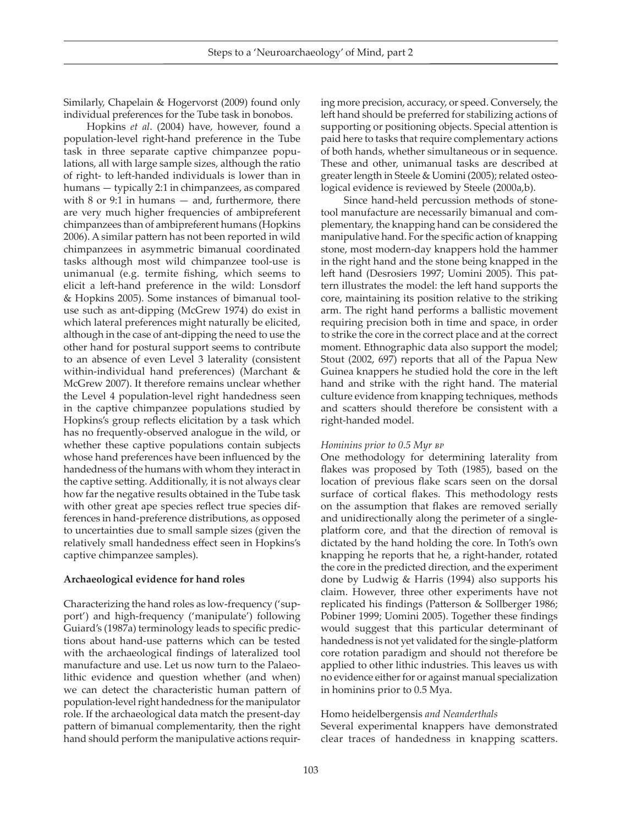Similarly, Chapelain & Hogervorst (2009) found only individual preferences for the Tube task in bonobos.

Hopkins *et al*. (2004) have, however, found a population-level right-hand preference in the Tube task in three separate captive chimpanzee populations, all with large sample sizes, although the ratio of right- to left-handed individuals is lower than in humans — typically 2:1 in chimpanzees, as compared with 8 or 9:1 in humans  $-$  and, furthermore, there are very much higher frequencies of ambipreferent chimpanzees than of ambipreferent humans (Hopkins 2006). A similar pattern has not been reported in wild chimpanzees in asymmetric bimanual coordinated tasks although most wild chimpanzee tool-use is unimanual (e.g. termite fishing, which seems to elicit a left-hand preference in the wild: Lonsdorf & Hopkins 2005). Some instances of bimanual tooluse such as ant-dipping (McGrew 1974) do exist in which lateral preferences might naturally be elicited, although in the case of ant-dipping the need to use the other hand for postural support seems to contribute to an absence of even Level 3 laterality (consistent within-individual hand preferences) (Marchant & McGrew 2007). It therefore remains unclear whether the Level 4 population-level right handedness seen in the captive chimpanzee populations studied by Hopkins's group reflects elicitation by a task which has no frequently-observed analogue in the wild, or whether these captive populations contain subjects whose hand preferences have been influenced by the handedness of the humans with whom they interact in the captive setting. Additionally, it is not always clear how far the negative results obtained in the Tube task with other great ape species reflect true species differences in hand-preference distributions, as opposed to uncertainties due to small sample sizes (given the relatively small handedness effect seen in Hopkins's captive chimpanzee samples).

#### **Archaeological evidence for hand roles**

Characterizing the hand roles as low-frequency ('support') and high-frequency ('manipulate') following Guiard's (1987a) terminology leads to specific predictions about hand-use patterns which can be tested with the archaeological findings of lateralized tool manufacture and use. Let us now turn to the Palaeolithic evidence and question whether (and when) we can detect the characteristic human pattern of population-level right handedness for the manipulator role. If the archaeological data match the present-day pattern of bimanual complementarity, then the right hand should perform the manipulative actions requiring more precision, accuracy, or speed. Conversely, the left hand should be preferred for stabilizing actions of supporting or positioning objects. Special attention is paid here to tasks that require complementary actions of both hands, whether simultaneous or in sequence. These and other, unimanual tasks are described at greater length in Steele & Uomini (2005); related osteological evidence is reviewed by Steele (2000a,b).

Since hand-held percussion methods of stonetool manufacture are necessarily bimanual and complementary, the knapping hand can be considered the manipulative hand. For the specific action of knapping stone, most modern-day knappers hold the hammer in the right hand and the stone being knapped in the left hand (Desrosiers 1997; Uomini 2005). This pattern illustrates the model: the left hand supports the core, maintaining its position relative to the striking arm. The right hand performs a ballistic movement requiring precision both in time and space, in order to strike the core in the correct place and at the correct moment. Ethnographic data also support the model; Stout (2002, 697) reports that all of the Papua New Guinea knappers he studied hold the core in the left hand and strike with the right hand. The material culture evidence from knapping techniques, methods and scatters should therefore be consistent with a right-handed model.

#### *Hominins prior to 0.5 Myr bp*

One methodology for determining laterality from flakes was proposed by Toth (1985), based on the location of previous flake scars seen on the dorsal surface of cortical flakes. This methodology rests on the assumption that flakes are removed serially and unidirectionally along the perimeter of a singleplatform core, and that the direction of removal is dictated by the hand holding the core. In Toth's own knapping he reports that he, a right-hander, rotated the core in the predicted direction, and the experiment done by Ludwig & Harris (1994) also supports his claim. However, three other experiments have not replicated his findings (Patterson & Sollberger 1986; Pobiner 1999; Uomini 2005). Together these findings would suggest that this particular determinant of handedness is not yet validated for the single-platform core rotation paradigm and should not therefore be applied to other lithic industries. This leaves us with no evidence either for or against manual specialization in hominins prior to 0.5 Mya.

#### Homo heidelbergensis *and Neanderthals*

Several experimental knappers have demonstrated clear traces of handedness in knapping scatters.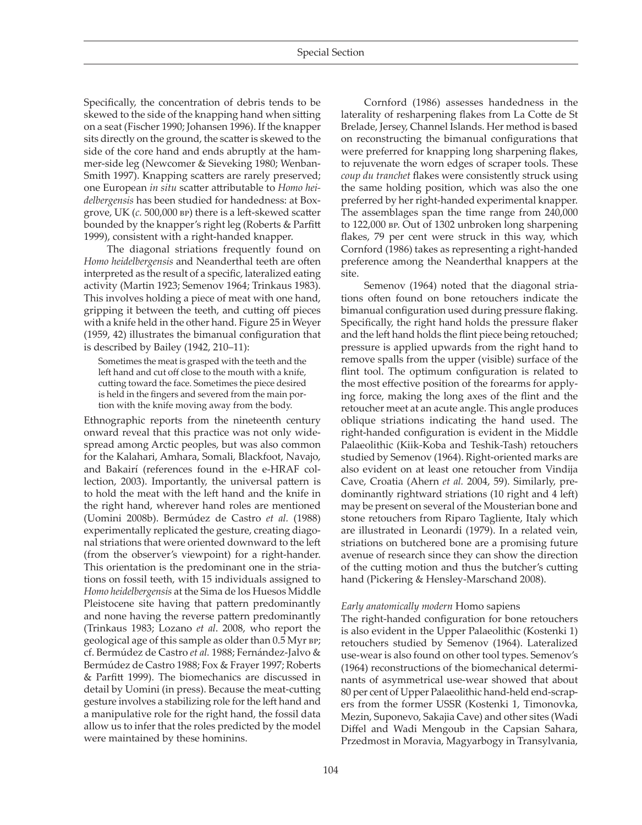Specifically, the concentration of debris tends to be skewed to the side of the knapping hand when sitting on a seat (Fischer 1990; Johansen 1996). If the knapper sits directly on the ground, the scatter is skewed to the side of the core hand and ends abruptly at the hammer-side leg (Newcomer & Sieveking 1980; Wenban-Smith 1997). Knapping scatters are rarely preserved; one European *in situ* scatter attributable to *Homo heidelbergensis* has been studied for handedness: at Boxgrove, UK (*c.* 500,000 bp) there is a left-skewed scatter bounded by the knapper's right leg (Roberts & Parfitt 1999), consistent with a right-handed knapper.

The diagonal striations frequently found on *Homo heidelbergensis* and Neanderthal teeth are often interpreted as the result of a specific, lateralized eating activity (Martin 1923; Semenov 1964; Trinkaus 1983). This involves holding a piece of meat with one hand, gripping it between the teeth, and cutting off pieces with a knife held in the other hand. Figure 25 in Weyer (1959, 42) illustrates the bimanual configuration that is described by Bailey (1942, 210–11):

Sometimes the meat is grasped with the teeth and the left hand and cut off close to the mouth with a knife, cutting toward the face. Sometimes the piece desired is held in the fingers and severed from the main portion with the knife moving away from the body.

Ethnographic reports from the nineteenth century onward reveal that this practice was not only widespread among Arctic peoples, but was also common for the Kalahari, Amhara, Somali, Blackfoot, Navajo, and Bakairí (references found in the e-HRAF collection, 2003). Importantly, the universal pattern is to hold the meat with the left hand and the knife in the right hand, wherever hand roles are mentioned (Uomini 2008b). Bermúdez de Castro *et al.* (1988) experimentally replicated the gesture, creating diagonal striations that were oriented downward to the left (from the observer's viewpoint) for a right-hander. This orientation is the predominant one in the striations on fossil teeth, with 15 individuals assigned to *Homo heidelbergensis* at the Sima de los Huesos Middle Pleistocene site having that pattern predominantly and none having the reverse pattern predominantly (Trinkaus 1983; Lozano *et al*. 2008, who report the geological age of this sample as older than 0.5 Myr bp; cf. Bermúdez de Castro *et al.* 1988; Fernández-Jalvo & Bermúdez de Castro 1988; Fox & Frayer 1997; Roberts & Parfitt 1999). The biomechanics are discussed in detail by Uomini (in press). Because the meat-cutting gesture involves a stabilizing role for the left hand and a manipulative role for the right hand, the fossil data allow us to infer that the roles predicted by the model were maintained by these hominins.

Cornford (1986) assesses handedness in the laterality of resharpening flakes from La Cotte de St Brelade, Jersey, Channel Islands. Her method is based on reconstructing the bimanual configurations that were preferred for knapping long sharpening flakes, to rejuvenate the worn edges of scraper tools. These *coup du tranchet* flakes were consistently struck using the same holding position, which was also the one preferred by her right-handed experimental knapper. The assemblages span the time range from 240,000 to 122,000 bp. Out of 1302 unbroken long sharpening flakes, 79 per cent were struck in this way, which Cornford (1986) takes as representing a right-handed preference among the Neanderthal knappers at the site.

Semenov (1964) noted that the diagonal striations often found on bone retouchers indicate the bimanual configuration used during pressure flaking. Specifically, the right hand holds the pressure flaker and the left hand holds the flint piece being retouched; pressure is applied upwards from the right hand to remove spalls from the upper (visible) surface of the flint tool. The optimum configuration is related to the most effective position of the forearms for applying force, making the long axes of the flint and the retoucher meet at an acute angle. This angle produces oblique striations indicating the hand used. The right-handed configuration is evident in the Middle Palaeolithic (Kiik-Koba and Teshik-Tash) retouchers studied by Semenov (1964). Right-oriented marks are also evident on at least one retoucher from Vindija Cave, Croatia (Ahern *et al.* 2004, 59). Similarly, predominantly rightward striations (10 right and 4 left) may be present on several of the Mousterian bone and stone retouchers from Riparo Tagliente, Italy which are illustrated in Leonardi (1979). In a related vein, striations on butchered bone are a promising future avenue of research since they can show the direction of the cutting motion and thus the butcher's cutting hand (Pickering & Hensley-Marschand 2008).

#### *Early anatomically modern* Homo sapiens

The right-handed configuration for bone retouchers is also evident in the Upper Palaeolithic (Kostenki 1) retouchers studied by Semenov (1964). Lateralized use-wear is also found on other tool types. Semenov's (1964) reconstructions of the biomechanical determinants of asymmetrical use-wear showed that about 80 per cent of Upper Palaeolithic hand-held end-scrapers from the former USSR (Kostenki 1, Timonovka, Mezin, Suponevo, Sakajia Cave) and other sites (Wadi Diffel and Wadi Mengoub in the Capsian Sahara, Przedmost in Moravia, Magyarbogy in Transylvania,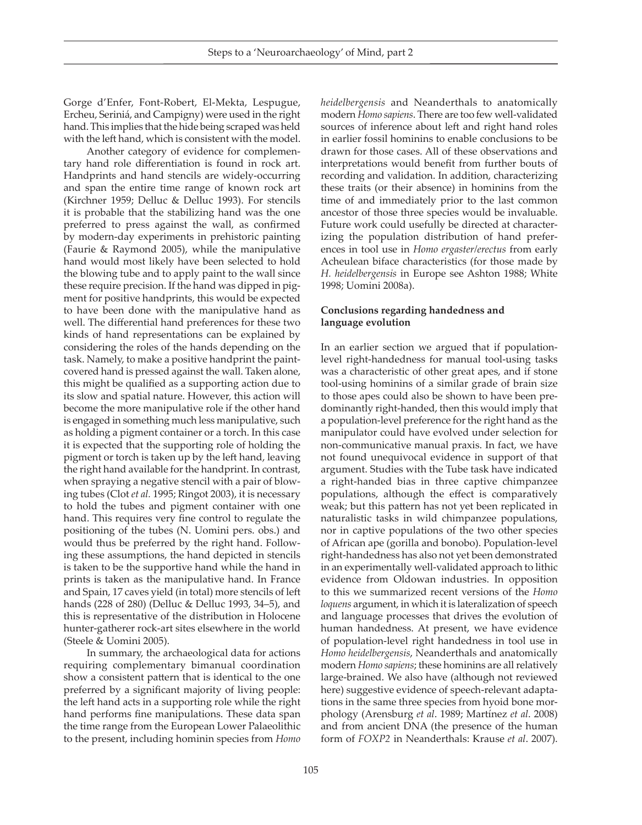Gorge d'Enfer, Font-Robert, El-Mekta, Lespugue, Ercheu, Seriniá, and Campigny) were used in the right hand. This implies that the hide being scraped was held with the left hand, which is consistent with the model.

Another category of evidence for complementary hand role differentiation is found in rock art. Handprints and hand stencils are widely-occurring and span the entire time range of known rock art (Kirchner 1959; Delluc & Delluc 1993). For stencils it is probable that the stabilizing hand was the one preferred to press against the wall, as confirmed by modern-day experiments in prehistoric painting (Faurie & Raymond 2005), while the manipulative hand would most likely have been selected to hold the blowing tube and to apply paint to the wall since these require precision. If the hand was dipped in pigment for positive handprints, this would be expected to have been done with the manipulative hand as well. The differential hand preferences for these two kinds of hand representations can be explained by considering the roles of the hands depending on the task. Namely, to make a positive handprint the paintcovered hand is pressed against the wall. Taken alone, this might be qualified as a supporting action due to its slow and spatial nature. However, this action will become the more manipulative role if the other hand is engaged in something much less manipulative, such as holding a pigment container or a torch. In this case it is expected that the supporting role of holding the pigment or torch is taken up by the left hand, leaving the right hand available for the handprint. In contrast, when spraying a negative stencil with a pair of blowing tubes (Clot *et al.* 1995; Ringot 2003), it is necessary to hold the tubes and pigment container with one hand. This requires very fine control to regulate the positioning of the tubes (N. Uomini pers. obs.) and would thus be preferred by the right hand. Following these assumptions, the hand depicted in stencils is taken to be the supportive hand while the hand in prints is taken as the manipulative hand. In France and Spain, 17 caves yield (in total) more stencils of left hands (228 of 280) (Delluc & Delluc 1993, 34–5), and this is representative of the distribution in Holocene hunter-gatherer rock-art sites elsewhere in the world (Steele & Uomini 2005).

In summary, the archaeological data for actions requiring complementary bimanual coordination show a consistent pattern that is identical to the one preferred by a significant majority of living people: the left hand acts in a supporting role while the right hand performs fine manipulations. These data span the time range from the European Lower Palaeolithic to the present, including hominin species from *Homo* 

*heidelbergensis* and Neanderthals to anatomically modern *Homo sapiens*. There are too few well-validated sources of inference about left and right hand roles in earlier fossil hominins to enable conclusions to be drawn for those cases. All of these observations and interpretations would benefit from further bouts of recording and validation. In addition, characterizing these traits (or their absence) in hominins from the time of and immediately prior to the last common ancestor of those three species would be invaluable. Future work could usefully be directed at characterizing the population distribution of hand preferences in tool use in *Homo ergaster/erectus* from early Acheulean biface characteristics (for those made by *H. heidelbergensis* in Europe see Ashton 1988; White 1998; Uomini 2008a).

# **Conclusions regarding handedness and language evolution**

In an earlier section we argued that if populationlevel right-handedness for manual tool-using tasks was a characteristic of other great apes, and if stone tool-using hominins of a similar grade of brain size to those apes could also be shown to have been predominantly right-handed, then this would imply that a population-level preference for the right hand as the manipulator could have evolved under selection for non-communicative manual praxis. In fact, we have not found unequivocal evidence in support of that argument. Studies with the Tube task have indicated a right-handed bias in three captive chimpanzee populations, although the effect is comparatively weak; but this pattern has not yet been replicated in naturalistic tasks in wild chimpanzee populations, nor in captive populations of the two other species of African ape (gorilla and bonobo). Population-level right-handedness has also not yet been demonstrated in an experimentally well-validated approach to lithic evidence from Oldowan industries. In opposition to this we summarized recent versions of the *Homo loquens* argument, in which it is lateralization of speech and language processes that drives the evolution of human handedness. At present, we have evidence of population-level right handedness in tool use in *Homo heidelbergensis*, Neanderthals and anatomically modern *Homo sapiens*; these hominins are all relatively large-brained. We also have (although not reviewed here) suggestive evidence of speech-relevant adaptations in the same three species from hyoid bone morphology (Arensburg *et al*. 1989; Martínez *et al*. 2008) and from ancient DNA (the presence of the human form of *FOXP2* in Neanderthals: Krause *et al*. 2007).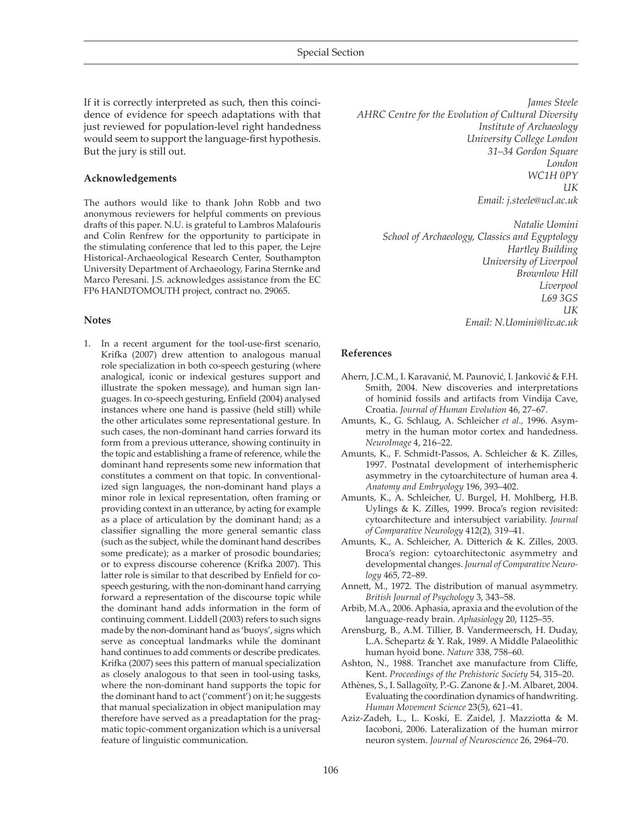If it is correctly interpreted as such, then this coincidence of evidence for speech adaptations with that just reviewed for population-level right handedness would seem to support the language-first hypothesis. But the jury is still out.

#### **Acknowledgements**

The authors would like to thank John Robb and two anonymous reviewers for helpful comments on previous drafts of this paper. N.U. is grateful to Lambros Malafouris and Colin Renfrew for the opportunity to participate in the stimulating conference that led to this paper, the Lejre Historical-Archaeological Research Center, Southampton University Department of Archaeology, Farina Sternke and Marco Peresani. J.S. acknowledges assistance from the EC FP6 HANDTOMOUTH project, contract no. 29065.

#### **Notes**

1. In a recent argument for the tool-use-first scenario, Krifka (2007) drew attention to analogous manual role specialization in both co-speech gesturing (where analogical, iconic or indexical gestures support and illustrate the spoken message), and human sign languages. In co-speech gesturing, Enfield (2004) analysed instances where one hand is passive (held still) while the other articulates some representational gesture. In such cases, the non-dominant hand carries forward its form from a previous utterance, showing continuity in the topic and establishing a frame of reference, while the dominant hand represents some new information that constitutes a comment on that topic. In conventionalized sign languages, the non-dominant hand plays a minor role in lexical representation, often framing or providing context in an utterance, by acting for example as a place of articulation by the dominant hand; as a classifier signalling the more general semantic class (such as the subject, while the dominant hand describes some predicate); as a marker of prosodic boundaries; or to express discourse coherence (Krifka 2007). This latter role is similar to that described by Enfield for cospeech gesturing, with the non-dominant hand carrying forward a representation of the discourse topic while the dominant hand adds information in the form of continuing comment. Liddell (2003) refers to such signs made by the non-dominant hand as 'buoys', signs which serve as conceptual landmarks while the dominant hand continues to add comments or describe predicates. Krifka (2007) sees this pattern of manual specialization as closely analogous to that seen in tool-using tasks, where the non-dominant hand supports the topic for the dominant hand to act ('comment') on it; he suggests that manual specialization in object manipulation may therefore have served as a preadaptation for the pragmatic topic-comment organization which is a universal feature of linguistic communication.

*James Steele AHRC Centre for the Evolution of Cultural Diversity Institute of Archaeology University College London 31–34 Gordon Square London WC1H 0PY UK Email: j.steele@ucl.ac.uk*

> *Natalie Uomini School of Archaeology, Classics and Egyptology Hartley Building University of Liverpool Brownlow Hill Liverpool L69 3GS UK Email: N.Uomini@liv.ac.uk*

# **References**

- Ahern, J.C.M., I. Karavanić, M. Paunović, I. Janković & F.H. Smith, 2004. New discoveries and interpretations of hominid fossils and artifacts from Vindija Cave, Croatia. *Journal of Human Evolution* 46, 27–67.
- Amunts, K., G. Schlaug, A. Schleicher *et al.,* 1996. Asymmetry in the human motor cortex and handedness. *NeuroImage* 4, 216–22.
- Amunts, K., F. Schmidt-Passos, A. Schleicher & K. Zilles, 1997. Postnatal development of interhemispheric asymmetry in the cytoarchitecture of human area 4. *Anatomy and Embryology* 196, 393–402.
- Amunts, K., A. Schleicher, U. Burgel, H. Mohlberg, H.B. Uylings & K. Zilles, 1999. Broca's region revisited: cytoarchitecture and intersubject variability. *Journal of Comparative Neurology* 412(2)*,* 319–41.
- Amunts, K., A. Schleicher, A. Ditterich & K. Zilles, 2003. Broca's region: cytoarchitectonic asymmetry and developmental changes. *Journal of Comparative Neurology* 465, 72–89.
- Annett, M., 1972. The distribution of manual asymmetry. *British Journal of Psychology* 3, 343–58.
- Arbib, M.A., 2006. Aphasia, apraxia and the evolution of the language-ready brain. *Aphasiology* 20, 1125–55.
- Arensburg, B., A.M. Tillier, B. Vandermeersch, H. Duday, L.A. Schepartz & Y. Rak, 1989. A Middle Palaeolithic human hyoid bone. *Nature* 338, 758–60.
- Ashton, N., 1988. Tranchet axe manufacture from Cliffe, Kent. *Proceedings of the Prehistoric Society* 54, 315–20.
- Athènes, S., I. Sallagoïty, P.-G. Zanone & J.-M. Albaret, 2004. Evaluating the coordination dynamics of handwriting. *Human Movement Science* 23(5), 621–41.
- Aziz-Zadeh, L., L. Koski, E. Zaidel, J. Mazziotta & M. Iacoboni, 2006. Lateralization of the human mirror neuron system. *Journal of Neuroscience* 26, 2964–70.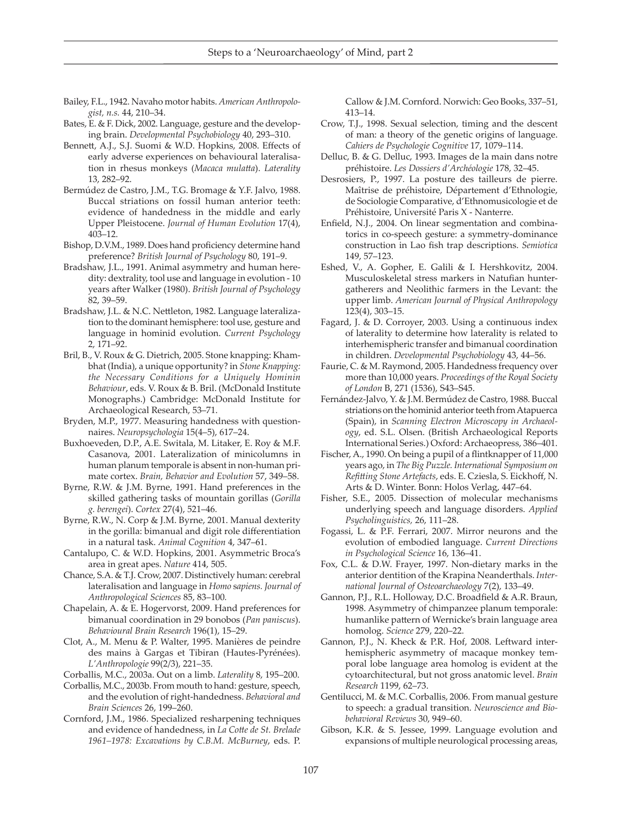- Bailey, F.L., 1942. Navaho motor habits. *American Anthropologist, n.s.* 44, 210–34.
- Bates, E. & F. Dick, 2002. Language, gesture and the developing brain. *Developmental Psychobiology* 40, 293–310.
- Bennett, A.J., S.J. Suomi & W.D. Hopkins, 2008. Effects of early adverse experiences on behavioural lateralisation in rhesus monkeys (*Macaca mulatta*). *Laterality* 13, 282–92.
- Bermúdez de Castro, J.M., T.G. Bromage & Y.F. Jalvo, 1988. Buccal striations on fossil human anterior teeth: evidence of handedness in the middle and early Upper Pleistocene. *Journal of Human Evolution* 17(4), 403–12.
- Bishop, D.V.M., 1989. Does hand proficiency determine hand preference? *British Journal of Psychology* 80, 191–9.
- Bradshaw, J.L., 1991. Animal asymmetry and human heredity: dextrality, tool use and language in evolution - 10 years after Walker (1980). *British Journal of Psychology* 82, 39–59.
- Bradshaw, J.L. & N.C. Nettleton, 1982. Language lateralization to the dominant hemisphere: tool use, gesture and language in hominid evolution. *Current Psychology* 2, 171–92.
- Bril, B., V. Roux & G. Dietrich, 2005. Stone knapping: Khambhat (India), a unique opportunity? in *Stone Knapping: the Necessary Conditions for a Uniquely Hominin Behaviour*, eds. V. Roux & B. Bril. (McDonald Institute Monographs.) Cambridge: McDonald Institute for Archaeological Research, 53–71.
- Bryden, M.P., 1977. Measuring handedness with questionnaires. *Neuropsychologia* 15(4–5), 617–24.
- Buxhoeveden, D.P., A.E. Switala, M. Litaker, E. Roy & M.F. Casanova, 2001. Lateralization of minicolumns in human planum temporale is absent in non-human primate cortex. *Brain, Behavior and Evolution* 57, 349–58.
- Byrne, R.W. & J.M. Byrne, 1991. Hand preferences in the skilled gathering tasks of mountain gorillas (*Gorilla g. berengei*). *Cortex* 27(4), 521–46.
- Byrne, R.W., N. Corp & J.M. Byrne, 2001. Manual dexterity in the gorilla: bimanual and digit role differentiation in a natural task. *Animal Cognition* 4, 347–61.
- Cantalupo, C. & W.D. Hopkins, 2001. Asymmetric Broca's area in great apes. *Nature* 414, 505.
- Chance, S.A. & T.J. Crow, 2007. Distinctively human: cerebral lateralisation and language in *Homo* s*apiens. Journal of Anthropological Sciences* 85, 83–100*.*
- Chapelain, A. & E. Hogervorst, 2009. Hand preferences for bimanual coordination in 29 bonobos (*Pan paniscus*). *Behavioural Brain Research* 196(1), 15–29.
- Clot, A., M. Menu & P. Walter, 1995. Manières de peindre des mains à Gargas et Tibiran (Hautes-Pyrénées). *L'Anthropologie* 99(2/3), 221–35.

Corballis, M.C., 2003a. Out on a limb. *Laterality* 8, 195–200.

- Corballis, M.C., 2003b. From mouth to hand: gesture, speech, and the evolution of right-handedness. *Behavioral and Brain Sciences* 26, 199–260.
- Cornford, J.M., 1986. Specialized resharpening techniques and evidence of handedness, in *La Cotte de St. Brelade 1961–1978: Excavations by C.B.M. McBurney*, eds. P.

Callow & J.M. Cornford. Norwich: Geo Books, 337–51, 413–14.

- Crow, T.J., 1998. Sexual selection, timing and the descent of man: a theory of the genetic origins of language. *Cahiers de Psychologie Cognitive* 17, 1079–114.
- Delluc, B. & G. Delluc, 1993. Images de la main dans notre préhistoire. *Les Dossiers d'Archéologie* 178, 32–45.
- Desrosiers, P., 1997. La posture des tailleurs de pierre. Maîtrise de préhistoire, Département d'Ethnologie, de Sociologie Comparative, d'Ethnomusicologie et de Préhistoire, Université Paris X - Nanterre.
- Enfield, N.J., 2004. On linear segmentation and combinatorics in co-speech gesture: a symmetry-dominance construction in Lao fish trap descriptions. *Semiotica*  149, 57–123.
- Eshed, V., A. Gopher, E. Galili & I. Hershkovitz, 2004. Musculoskeletal stress markers in Natufian huntergatherers and Neolithic farmers in the Levant: the upper limb. *American Journal of Physical Anthropology* 123(4), 303–15.
- Fagard, J. & D. Corroyer, 2003. Using a continuous index of laterality to determine how laterality is related to interhemispheric transfer and bimanual coordination in children. *Developmental Psychobiology* 43, 44–56.
- Faurie, C. & M. Raymond, 2005. Handedness frequency over more than 10,000 years. *Proceedings of the Royal Society of London* B, 271 (1536), S43–S45.
- Fernández-Jalvo, Y. & J.M. Bermúdez de Castro, 1988. Buccal striations on the hominid anterior teeth from Atapuerca (Spain), in *Scanning Electron Microscopy in Archaeology*, ed. S.L. Olsen. (British Archaeological Reports International Series.) Oxford: Archaeopress, 386–401.
- Fischer, A., 1990. On being a pupil of a flintknapper of 11,000 years ago, in *The Big Puzzle. International Symposium on Refitting Stone Artefacts*, eds. E. Cziesla, S. Eickhoff, N. Arts & D. Winter. Bonn: Holos Verlag, 447–64.
- Fisher, S.E., 2005. Dissection of molecular mechanisms underlying speech and language disorders. *Applied Psycholinguistics,* 26, 111–28.
- Fogassi, L. & P.F. Ferrari, 2007. Mirror neurons and the evolution of embodied language. *Current Directions in Psychological Science* 16, 136–41.
- Fox, C.L. & D.W. Frayer, 1997. Non-dietary marks in the anterior dentition of the Krapina Neanderthals. *International Journal of Osteoarchaeology* 7(2), 133–49.
- Gannon, P.J., R.L. Holloway, D.C. Broadfield & A.R. Braun, 1998. Asymmetry of chimpanzee planum temporale: humanlike pattern of Wernicke's brain language area homolog. *Science* 279, 220–22.
- Gannon, P.J., N. Kheck & P.R. Hof, 2008. Leftward interhemispheric asymmetry of macaque monkey temporal lobe language area homolog is evident at the cytoarchitectural, but not gross anatomic level. *Brain Research* 1199, 62–73.
- Gentilucci, M. & M.C. Corballis, 2006. From manual gesture to speech: a gradual transition. *Neuroscience and Biobehavioral Reviews* 30, 949–60.
- Gibson, K.R. & S. Jessee, 1999. Language evolution and expansions of multiple neurological processing areas,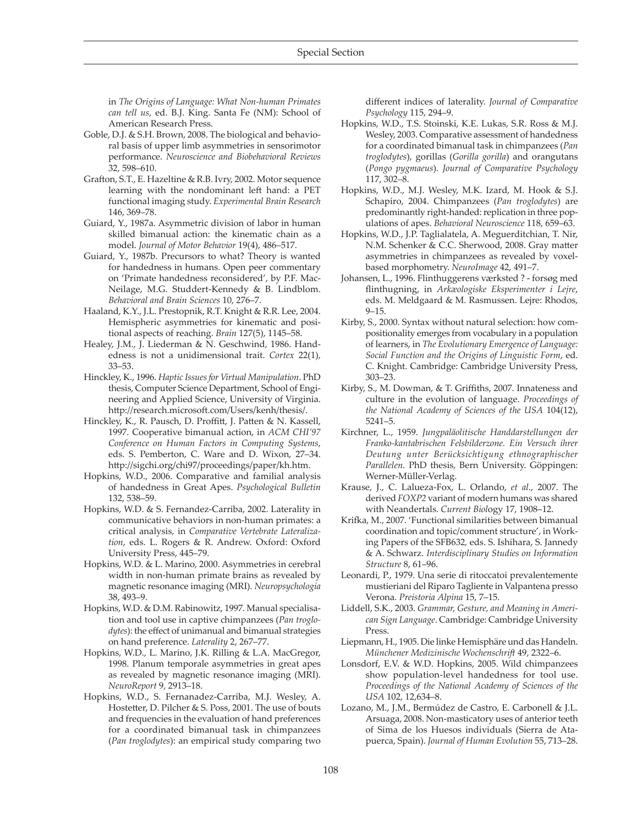in *The Origins of Language: What Non-human Primates can tell us*, ed. B.J. King. Santa Fe (NM): School of American Research Press.

- Goble, D.J. & S.H. Brown, 2008. The biological and behavioral basis of upper limb asymmetries in sensorimotor performance. *Neuroscience and Biobehavioral Reviews* 32, 598–610.
- Grafton, S.T., E. Hazeltine & R.B. Ivry, 2002. Motor sequence learning with the nondominant left hand: a PET functional imaging study. *Experimental Brain Research* 146, 369–78.
- Guiard, Y., 1987a. Asymmetric division of labor in human skilled bimanual action: the kinematic chain as a model. *Journal of Motor Behavior* 19(4), 486–517.
- Guiard, Y., 1987b. Precursors to what? Theory is wanted for handedness in humans. Open peer commentary on 'Primate handedness reconsidered', by P.F. Mac-Neilage, M.G. Studdert-Kennedy & B. Lindblom. *Behavioral and Brain Sciences* 10, 276–7.
- Haaland, K.Y., J.L. Prestopnik, R.T. Knight & R.R. Lee, 2004. Hemispheric asymmetries for kinematic and positional aspects of reaching. *Brain* 127(5), 1145–58.
- Healey, J.M., J. Liederman & N. Geschwind, 1986. Handedness is not a unidimensional trait. *Cortex* 22(1), 33–53.
- Hinckley, K., 1996. *Haptic Issues for Virtual Manipulation*. PhD thesis, Computer Science Department, School of Engineering and Applied Science, University of Virginia. http://research.microsoft.com/Users/kenh/thesis/.
- Hinckley, K., R. Pausch, D. Proffitt, J. Patten & N. Kassell, 1997. Cooperative bimanual action, in *ACM CHI'97 Conference on Human Factors in Computing Systems*, eds. S. Pemberton, C. Ware and D. Wixon, 27–34. http://sigchi.org/chi97/proceedings/paper/kh.htm.
- Hopkins, W.D., 2006. Comparative and familial analysis of handedness in Great Apes. *Psychological Bulletin* 132, 538–59.
- Hopkins, W.D. & S. Fernandez-Carriba, 2002. Laterality in communicative behaviors in non-human primates: a critical analysis, in *Comparative Vertebrate Lateralization*, eds. L. Rogers & R. Andrew. Oxford: Oxford University Press, 445–79.
- Hopkins, W.D. & L. Marino, 2000. Asymmetries in cerebral width in non-human primate brains as revealed by magnetic resonance imaging (MRI). *Neuropsychologia* 38, 493–9.
- Hopkins, W.D. & D.M. Rabinowitz, 1997. Manual specialisation and tool use in captive chimpanzees (*Pan troglodytes*): the effect of unimanual and bimanual strategies on hand preference. *Laterality* 2, 267–77.
- Hopkins, W.D., L. Marino, J.K. Rilling & L.A. MacGregor, 1998. Planum temporale asymmetries in great apes as revealed by magnetic resonance imaging (MRI). *NeuroReport* 9, 2913–18.
- Hopkins, W.D., S. Fernanadez-Carriba, M.J. Wesley, A. Hostetter, D. Pilcher & S. Poss, 2001. The use of bouts and frequencies in the evaluation of hand preferences for a coordinated bimanual task in chimpanzees (*Pan troglodytes*): an empirical study comparing two

different indices of laterality. *Journal of Comparative Psychology* 115, 294–9.

- Hopkins, W.D., T.S. Stoinski, K.E. Lukas, S.R. Ross & M.J. Wesley, 2003. Comparative assessment of handedness for a coordinated bimanual task in chimpanzees (*Pan troglodytes*), gorillas (*Gorilla gorilla*) and orangutans (*Pongo pygmaeus*). *Journal of Comparative Psychology*  117, 302–8.
- Hopkins, W.D., M.J. Wesley, M.K. Izard, M. Hook & S.J. Schapiro, 2004. Chimpanzees (*Pan troglodytes*) are predominantly right-handed: replication in three populations of apes. *Behavioral Neuroscience* 118, 659–63.
- Hopkins, W.D., J.P. Taglialatela, A. Meguerditchian, T. Nir, N.M. Schenker & C.C. Sherwood, 2008. Gray matter asymmetries in chimpanzees as revealed by voxelbased morphometry. *NeuroImage* 42, 491–7.
- Johansen, L., 1996. Flinthuggerens værksted ? forsøg med flinthugning, in *Arkæologiske Eksperimenter i Lejre*, eds. M. Meldgaard & M. Rasmussen. Lejre: Rhodos, 9–15.
- Kirby, S., 2000. Syntax without natural selection: how compositionality emerges from vocabulary in a population of learners, in *The Evolutionary Emergence of Language: Social Function and the Origins of Linguistic Form*, ed. C. Knight. Cambridge: Cambridge University Press, 303–23.
- Kirby, S., M. Dowman, & T. Griffiths, 2007. Innateness and culture in the evolution of language. *Proceedings of the National Academy of Sciences of the USA* 104(12), 5241–5.
- Kirchner, L., 1959. *Jungpaläolitische Handdarstellungen der Franko-kantabrischen Felsbilderzone. Ein Versuch ihrer Deutung unter Berücksichtigung ethnographischer Parallelen.* PhD thesis, Bern University. Göppingen: Werner-Müller-Verlag.
- Krause, J., C. Lalueza-Fox, L. Orlando, *et al*., 2007. The derived *FOXP2* variant of modern humans was shared with Neandertals. *Current Biol*ogy 17, 1908–12.
- Krifka, M., 2007. 'Functional similarities between bimanual coordination and topic/comment structure', in Working Papers of the SFB632*,* eds. S. Ishihara, S. Jannedy & A. Schwarz. *Interdisciplinary Studies on Information Structure* 8, 61–96.
- Leonardi, P., 1979. Una serie di ritoccatoi prevalentemente mustieriani del Riparo Tagliente in Valpantena presso Verona. *Preistoria Alpina* 15, 7–15.
- Liddell, S.K., 2003. *Grammar, Gesture, and Meaning in American Sign Language*. Cambridge: Cambridge University **Press**
- Liepmann, H., 1905. Die linke Hemisphäre und das Handeln. *Münchener Medizinische Wochenschrift* 49, 2322–6.
- Lonsdorf, E.V. & W.D. Hopkins, 2005. Wild chimpanzees show population-level handedness for tool use. *Proceedings of the National Academy of Sciences of the USA* 102, 12,634–8.
- Lozano, M., J.M., Bermúdez de Castro, E. Carbonell & J.L. Arsuaga, 2008. Non-masticatory uses of anterior teeth of Sima de los Huesos individuals (Sierra de Atapuerca, Spain). *Journal of Human Evolution* 55, 713–28.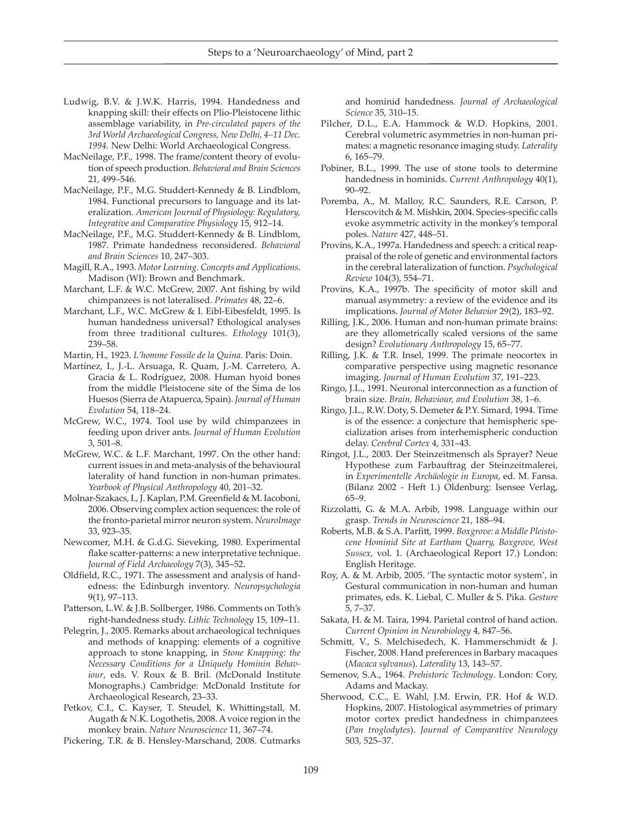- Ludwig, B.V. & J.W.K. Harris, 1994. Handedness and knapping skill: their effects on Plio-Pleistocene lithic assemblage variability, in *Pre-circulated papers of the 3rd World Archaeological Congress, New Delhi, 4–11 Dec. 1994.* New Delhi: World Archaeological Congress.
- MacNeilage, P.F., 1998. The frame/content theory of evolution of speech production. *Behavioral and Brain Sciences*  21, 499–546.
- MacNeilage, P.F., M.G. Studdert-Kennedy & B. Lindblom, 1984. Functional precursors to language and its lateralization. *American Journal of Physiology: Regulatory, Integrative and Comparative Physiology* 15, 912–14.
- MacNeilage, P.F., M.G. Studdert-Kennedy & B. Lindblom, 1987. Primate handedness reconsidered. *Behavioral and Brain Sciences* 10, 247–303.
- Magill, R.A., 1993. *Motor Learning. Concepts and Applications*. Madison (WI): Brown and Benchmark.
- Marchant, L.F. & W.C. McGrew, 2007. Ant fishing by wild chimpanzees is not lateralised. *Primates* 48, 22–6.
- Marchant, L.F., W.C. McGrew & I. Eibl-Eibesfeldt, 1995. Is human handedness universal? Ethological analyses from three traditional cultures. *Ethology* 101(3), 239–58.
- Martin, H., 1923. *L'homme Fossile de la Quina*. Paris: Doin.
- Martínez, I., J.-L. Arsuaga, R. Quam, J.-M. Carretero, A. Gracia & L. Rodríguez, 2008. Human hyoid bones from the middle Pleistocene site of the Sima de los Huesos (Sierra de Atapuerca, Spain). *Journal of Human Evolution* 54, 118–24.
- McGrew, W.C., 1974. Tool use by wild chimpanzees in feeding upon driver ants. *Journal of Human Evolution*  3, 501–8.
- McGrew, W.C. & L.F. Marchant, 1997. On the other hand: current issues in and meta-analysis of the behavioural laterality of hand function in non-human primates. *Yearbook of Physical Anthropology* 40, 201–32.
- Molnar-Szakacs, I., J. Kaplan, P.M. Greenfield & M. Iacoboni, 2006. Observing complex action sequences: the role of the fronto-parietal mirror neuron system. *NeuroImage* 33, 923–35.
- Newcomer, M.H. & G.d.G. Sieveking, 1980. Experimental flake scatter-patterns: a new interpretative technique. *Journal of Field Archaeology* 7(3), 345–52.
- Oldfield, R.C., 1971. The assessment and analysis of handedness: the Edinburgh inventory. *Neuropsychologia* 9(1), 97–113.
- Patterson, L.W. & J.B. Sollberger, 1986. Comments on Toth's right-handedness study. *Lithic Technology* 15, 109–11.
- Pelegrin, J., 2005. Remarks about archaeological techniques and methods of knapping: elements of a cognitive approach to stone knapping, in *Stone Knapping: the Necessary Conditions for a Uniquely Hominin Behaviour*, eds. V. Roux & B. Bril. (McDonald Institute Monographs.) Cambridge: McDonald Institute for Archaeological Research, 23–33.
- Petkov, C.I., C. Kayser, T. Steudel, K. Whittingstall, M. Augath & N.K. Logothetis, 2008. A voice region in the monkey brain. *Nature Neuroscience* 11, 367–74.

Pickering, T.R. & B. Hensley-Marschand, 2008. Cutmarks

and hominid handedness. *Journal of Archaeological Science* 35, 310–15.

- Pilcher, D.L., E.A. Hammock & W.D. Hopkins, 2001. Cerebral volumetric asymmetries in non-human primates: a magnetic resonance imaging study. *Laterality* 6, 165–79.
- Pobiner, B.L., 1999. The use of stone tools to determine handedness in hominids. *Current Anthropology* 40(1), 90–92.
- Poremba, A., M. Malloy, R.C. Saunders, R.E. Carson, P. Herscovitch & M. Mishkin, 2004. Species-specific calls evoke asymmetric activity in the monkey's temporal poles. *Nature* 427, 448–51.
- Provins, K.A., 1997a. Handedness and speech: a critical reappraisal of the role of genetic and environmental factors in the cerebral lateralization of function. *Psychological Review* 104(3), 554–71.
- Provins, K.A., 1997b. The specificity of motor skill and manual asymmetry: a review of the evidence and its implications. *Journal of Motor Behavior* 29(2), 183–92.
- Rilling, J.K., 2006. Human and non-human primate brains: are they allometrically scaled versions of the same design? *Evolutionary Anthropology* 15, 65–77.
- Rilling, J.K. & T.R. Insel, 1999. The primate neocortex in comparative perspective using magnetic resonance imaging. *Journal of Human Evolution* 37, 191–223.
- Ringo, J.L., 1991. Neuronal interconnection as a function of brain size. *Brain, Behaviour, and Evolution* 38, 1–6.
- Ringo, J.L., R.W. Doty, S. Demeter & P.Y. Simard, 1994. Time is of the essence: a conjecture that hemispheric specialization arises from interhemispheric conduction delay. *Cerebral Cortex* 4, 331–43.
- Ringot, J.L., 2003. Der Steinzeitmensch als Sprayer? Neue Hypothese zum Farbauftrag der Steinzeitmalerei, in *Experimentelle Archäologie in Europa*, ed. M. Fansa. (Bilanz 2002 - Heft 1.) Oldenburg: Isensee Verlag, 65–9.
- Rizzolatti, G. & M.A. Arbib, 1998. Language within our grasp. *Trends in Neuroscience* 21, 188–94.
- Roberts, M.B. & S.A. Parfitt, 1999. *Boxgrove: a Middle Pleistocene Hominid Site at Eartham Quarry, Boxgrove, West Sussex,* vol. 1*.* (Archaeological Report 17.) London: English Heritage.
- Roy, A. & M. Arbib, 2005. 'The syntactic motor system', in Gestural communication in non-human and human primates, eds. K. Liebal, C. Muller & S. Pika. *Gesture* 5, 7–37.
- Sakata, H. & M. Taira, 1994. Parietal control of hand action. *Current Opinion in Neurobiology* 4, 847–56.
- Schmitt, V., S. Melchisedech, K. Hammerschmidt & J. Fischer, 2008. Hand preferences in Barbary macaques (*Macaca sylvanus*). *Laterality* 13, 143–57.
- Semenov, S.A., 1964. *Prehistoric Technology*. London: Cory, Adams and Mackay.
- Sherwood, C.C., E. Wahl, J.M. Erwin, P.R. Hof & W.D. Hopkins, 2007. Histological asymmetries of primary motor cortex predict handedness in chimpanzees (*Pan troglodytes*). *Journal of Comparative Neurology*  503, 525–37.